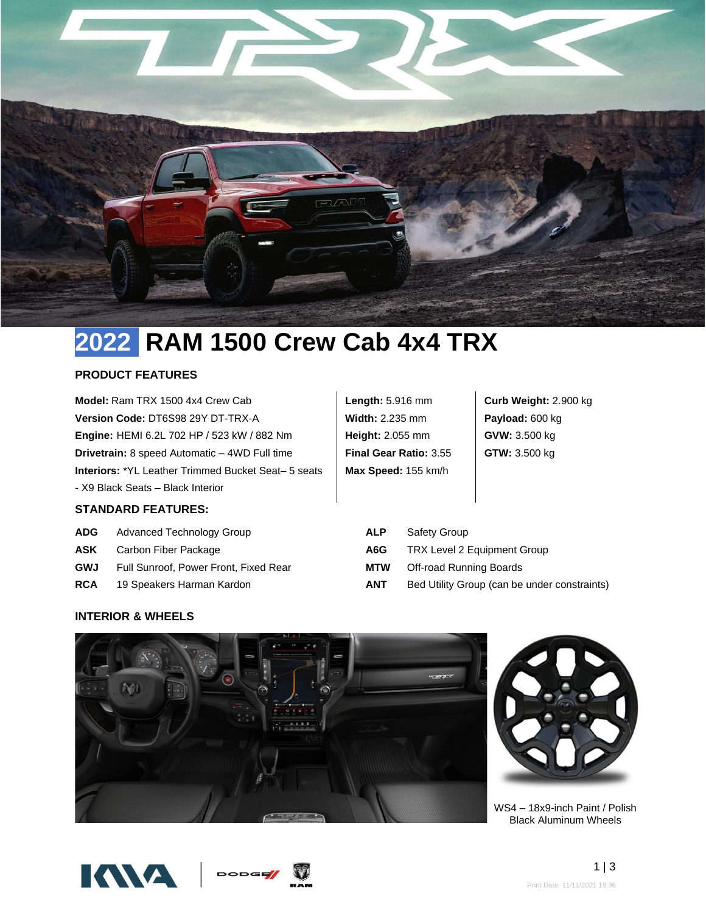

# **2022 RAM 1500 Crew Cab 4x4 TRX**

# **PRODUCT FEATURES**

**Model:** Ram TRX 1500 4x4 Crew Cab **Version Code:** DT6S98 29Y DT-TRX-A **Engine:** HEMI 6.2L 702 HP / 523 kW / 882 Nm **Drivetrain:** 8 speed Automatic – 4WD Full time **Interiors:** \*YL Leather Trimmed Bucket Seat– 5 seats - X9 Black Seats – Black Interior

**Length:** 5.916 mm **Width:** 2.235 mm **Height:** 2.055 mm **Final Gear Ratio:** 3.55 **Max Speed:** 155 km/h

**Curb Weight:** 2.900 kg **Payload:** 600 kg **GVW:** 3.500 kg **GTW:** 3.500 kg

- **STANDARD FEATURES:**
- ADG Advanced Technology Group **ALP** Safety Group
- 
- **GWJ** Full Sunroof, Power Front, Fixed Rear **MTW** Off-road Running Boards
- **RCA** 19 Speakers Harman Kardon **ANT** Bed Utility Group (can be under constraints)

**ASK** Carbon Fiber Package **A6G** TRX Level 2 Equipment Group

## **INTERIOR & WHEELS**





WS4 – 18x9-inch Paint / Polish Black Aluminum Wheels



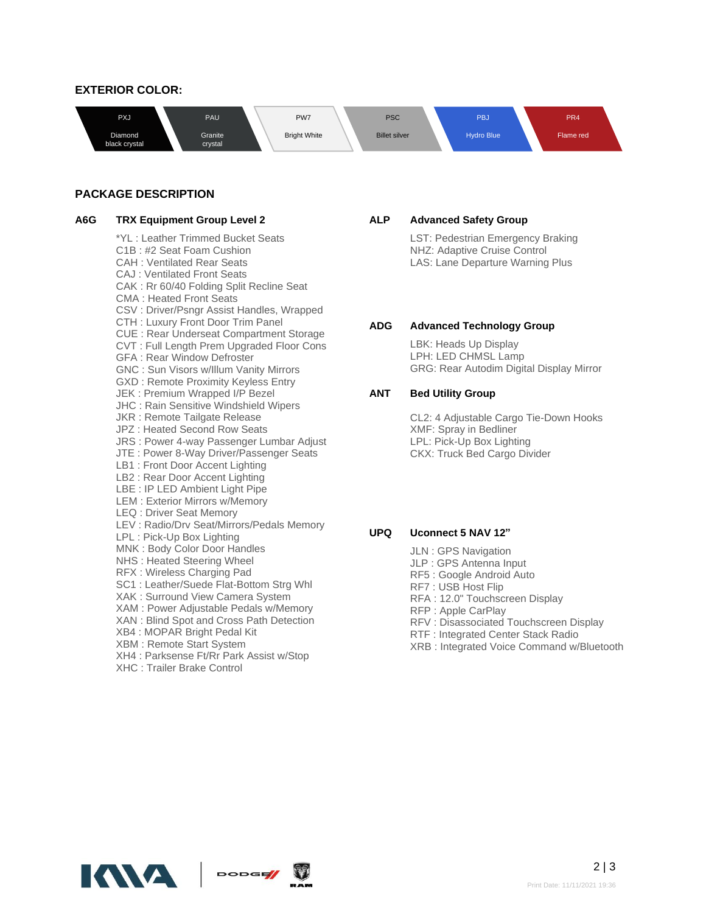## **EXTERIOR COLOR:**



## **PACKAGE DESCRIPTION**

\*YL : Leather Trimmed Bucket Seats C1B : #2 Seat Foam Cushion CAH : Ventilated Rear Seats CAJ : Ventilated Front Seats CAK : Rr 60/40 Folding Split Recline Seat CMA : Heated Front Seats CSV : Driver/Psngr Assist Handles, Wrapped CTH : Luxury Front Door Trim Panel CUE : Rear Underseat Compartment Storage CVT : Full Length Prem Upgraded Floor Cons GFA : Rear Window Defroster GNC : Sun Visors w/Illum Vanity Mirrors GXD : Remote Proximity Keyless Entry JEK : Premium Wrapped I/P Bezel JHC : Rain Sensitive Windshield Wipers JKR : Remote Tailgate Release JPZ : Heated Second Row Seats JRS : Power 4-way Passenger Lumbar Adjust JTE : Power 8-Way Driver/Passenger Seats LB1 : Front Door Accent Lighting LB2 : Rear Door Accent Lighting LBE : IP LED Ambient Light Pipe LEM : Exterior Mirrors w/Memory LEQ : Driver Seat Memory LEV : Radio/Drv Seat/Mirrors/Pedals Memory LPL : Pick-Up Box Lighting MNK : Body Color Door Handles NHS : Heated Steering Wheel RFX : Wireless Charging Pad SC1 : Leather/Suede Flat-Bottom Strg Whl XAK : Surround View Camera System XAM : Power Adjustable Pedals w/Memory XAN : Blind Spot and Cross Path Detection XB4 : MOPAR Bright Pedal Kit XBM : Remote Start System XH4 : Parksense Ft/Rr Park Assist w/Stop XHC : Trailer Brake Control

#### **A6G TRX Equipment Group Level 2 ALP Advanced Safety Group**

LST: Pedestrian Emergency Braking NHZ: Adaptive Cruise Control LAS: Lane Departure Warning Plus

#### **ADG Advanced Technology Group**

LBK: Heads Up Display LPH: LED CHMSL Lamp GRG: Rear Autodim Digital Display Mirror

### **ANT Bed Utility Group**

CL2: 4 Adjustable Cargo Tie-Down Hooks XMF: Spray in Bedliner LPL: Pick-Up Box Lighting CKX: Truck Bed Cargo Divider

## **UPQ Uconnect 5 NAV 12"**

- JLN : GPS Navigation
- JLP : GPS Antenna Input
- RF5 : Google Android Auto
- RF7 : USB Host Flip
- RFA : 12.0" Touchscreen Display
- RFP : Apple CarPlay
- RFV : Disassociated Touchscreen Display
- RTF : Integrated Center Stack Radio
- XRB : Integrated Voice Command w/Bluetooth